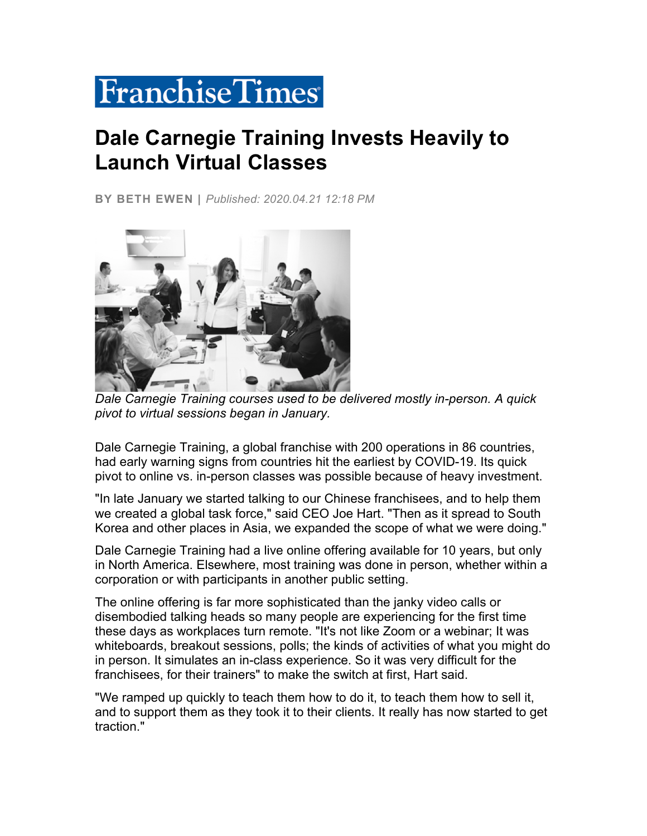## **FranchiseTimes**

## **Dale Carnegie Training Invests Heavily to Launch Virtual Classes**

**BY BETH EWEN |** *Published: 2020.04.21 12:18 PM*



*Dale Carnegie Training courses used to be delivered mostly in-person. A quick pivot to virtual sessions began in January.*

Dale Carnegie Training, a global franchise with 200 operations in 86 countries, had early warning signs from countries hit the earliest by COVID-19. Its quick pivot to online vs. in-person classes was possible because of heavy investment.

"In late January we started talking to our Chinese franchisees, and to help them we created a global task force," said CEO Joe Hart. "Then as it spread to South Korea and other places in Asia, we expanded the scope of what we were doing."

Dale Carnegie Training had a live online offering available for 10 years, but only in North America. Elsewhere, most training was done in person, whether within a corporation or with participants in another public setting.

The online offering is far more sophisticated than the janky video calls or disembodied talking heads so many people are experiencing for the first time these days as workplaces turn remote. "It's not like Zoom or a webinar; It was whiteboards, breakout sessions, polls; the kinds of activities of what you might do in person. It simulates an in-class experience. So it was very difficult for the franchisees, for their trainers" to make the switch at first, Hart said.

"We ramped up quickly to teach them how to do it, to teach them how to sell it, and to support them as they took it to their clients. It really has now started to get traction."